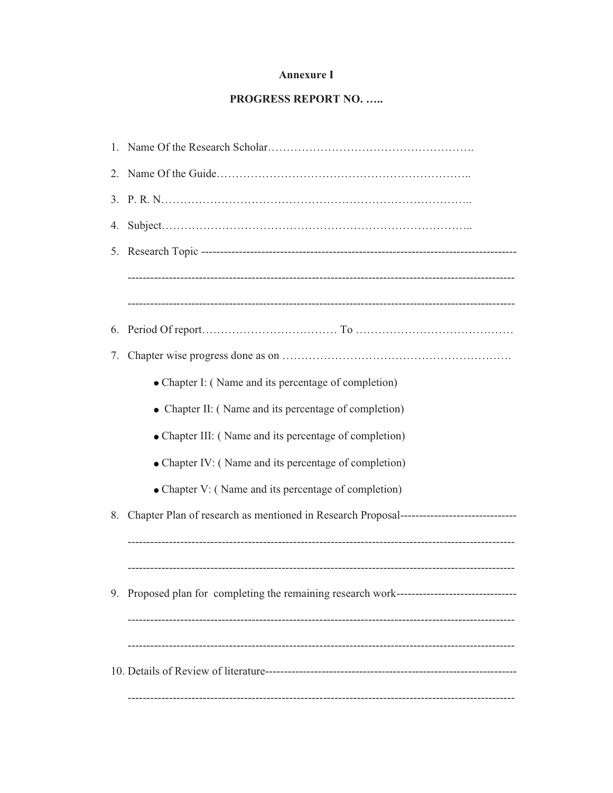#### **Annexure I**

#### PROGRESS REPORT NO. .....

| 4. |                                                                                         |
|----|-----------------------------------------------------------------------------------------|
|    |                                                                                         |
|    |                                                                                         |
|    |                                                                                         |
| 6. |                                                                                         |
| 7. |                                                                                         |
|    | • Chapter I: (Name and its percentage of completion)                                    |
|    | • Chapter II: (Name and its percentage of completion)                                   |
|    | • Chapter III: (Name and its percentage of completion)                                  |
|    | • Chapter IV: (Name and its percentage of completion)                                   |
|    | • Chapter V: (Name and its percentage of completion)                                    |
| 8. | Chapter Plan of research as mentioned in Research Proposal----------------------------- |
|    |                                                                                         |
|    |                                                                                         |
|    | Proposed plan for completing the remaining research work--------------------------      |
|    |                                                                                         |
|    |                                                                                         |
|    |                                                                                         |
|    |                                                                                         |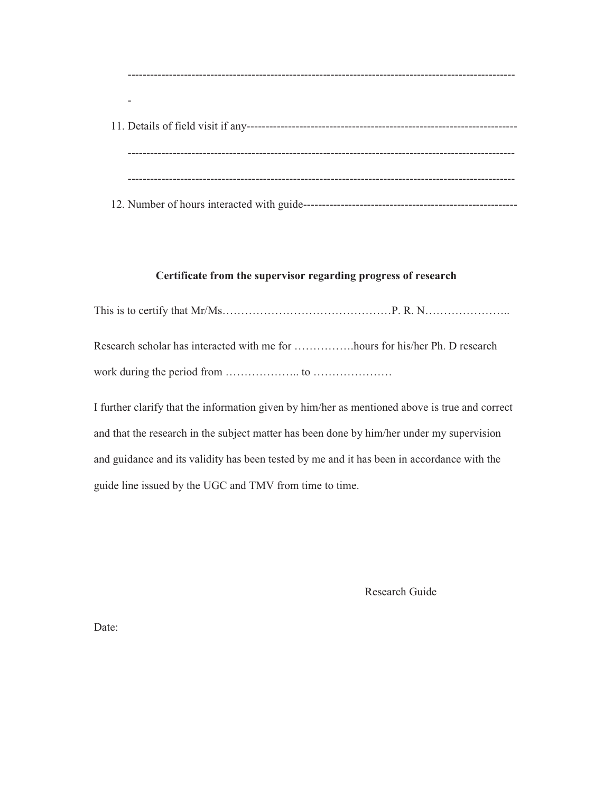------------------------------------------------------------------------------------------------------- - 11. Details of field visit if any------------------------------------------------------------------------ ------------------------------------------------------------------------------------------------------- ------------------------------------------------------------------------------------------------------- 12. Number of hours interacted with guide---------------------------------------------------------

#### **Certificate from the supervisor regarding progress of research**

This is to certify that Mr/Ms………………………………………P. R. N…………………..

Research scholar has interacted with me for …………….hours for his/her Ph. D research work during the period from ……………….. to …………………

I further clarify that the information given by him/her as mentioned above is true and correct and that the research in the subject matter has been done by him/her under my supervision and guidance and its validity has been tested by me and it has been in accordance with the guide line issued by the UGC and TMV from time to time.

Research Guide

Date: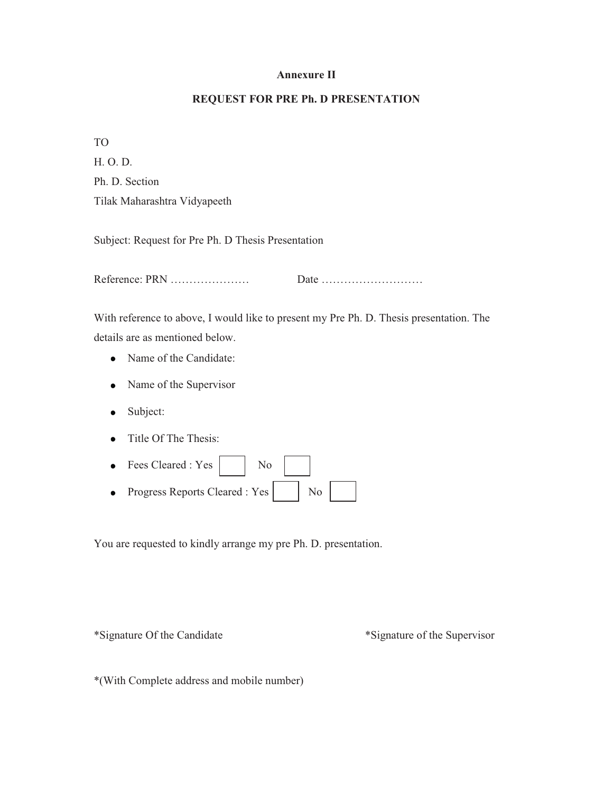#### **Annexure II**

#### **REQUEST FOR PRE Ph. D PRESENTATION**

TO

H. O. D. Ph. D. Section Tilak Maharashtra Vidyapeeth

Subject: Request for Pre Ph. D Thesis Presentation

Reference: PRN ………………… Date ………………………

With reference to above, I would like to present my Pre Ph. D. Thesis presentation. The details are as mentioned below.

- Name of the Candidate:
- Name of the Supervisor
- Subject:
- Title Of The Thesis:  $\bullet$
- Fees Cleared :  $Yes \mid$  No • Progress Reports Cleared :  $Yes \mid$  No

You are requested to kindly arrange my pre Ph. D. presentation.

\*Signature Of the Candidate \*Signature of the Supervisor

\*(With Complete address and mobile number)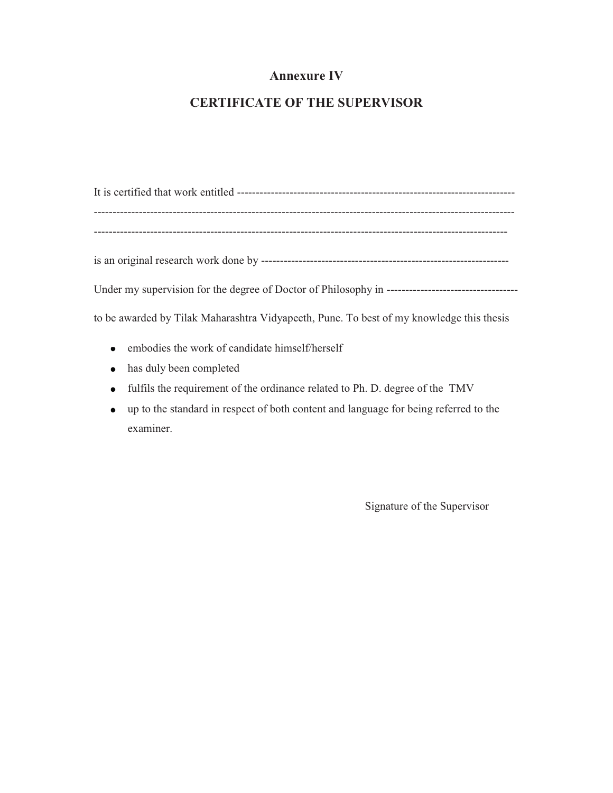### **Annexure IV**

### **CERTIFICATE OF THE SUPERVISOR**

It is certified that work entitled -------------------------------------------------------------------------- ---------------------------------------------------------------------------------------------------------------- ------------------------------------------------------------------------------------------------------------- is an original research work done by ------------------------------------------------------------------ Under my supervision for the degree of Doctor of Philosophy in ---------------------------------- to be awarded by Tilak Maharashtra Vidyapeeth, Pune. To best of my knowledge this thesis

- embodies the work of candidate himself/herself
- has duly been completed
- fulfils the requirement of the ordinance related to Ph. D. degree of the TMV
- up to the standard in respect of both content and language for being referred to the examiner.

Signature of the Supervisor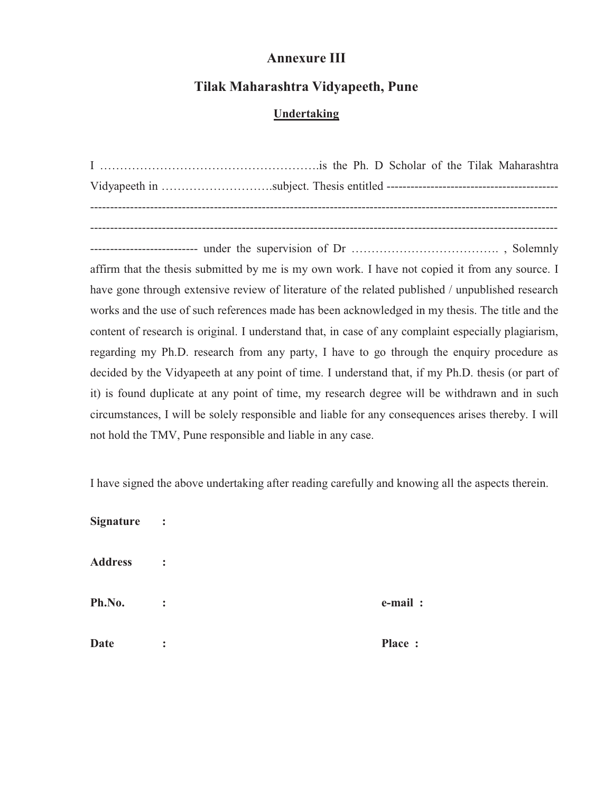## **Annexure III**

## **Tilak Maharashtra Vidyapeeth, Pune**

### **Undertaking**

I ……………………………………………….is the Ph. D Scholar of the Tilak Maharashtra Vidyapeeth in ……………………….subject. Thesis entitled ------------------------------------------- --------------------------------------------------------------------------------------------------------------------- --------------------------------------------------------------------------------------------------------------------- --------------------------- under the supervision of Dr ………………………………. , Solemnly affirm that the thesis submitted by me is my own work. I have not copied it from any source. I have gone through extensive review of literature of the related published / unpublished research works and the use of such references made has been acknowledged in my thesis. The title and the content of research is original. I understand that, in case of any complaint especially plagiarism, regarding my Ph.D. research from any party, I have to go through the enquiry procedure as decided by the Vidyapeeth at any point of time. I understand that, if my Ph.D. thesis (or part of it) is found duplicate at any point of time, my research degree will be withdrawn and in such circumstances, I will be solely responsible and liable for any consequences arises thereby. I will not hold the TMV, Pune responsible and liable in any case.

I have signed the above undertaking after reading carefully and knowing all the aspects therein.

| <b>Signature</b> | $\ddot{\cdot}$ |         |
|------------------|----------------|---------|
| <b>Address</b>   | $\ddot{\cdot}$ |         |
| Ph.No.           | $\ddot{\cdot}$ | e-mail: |
| <b>Date</b>      | $\ddot{\cdot}$ | Place:  |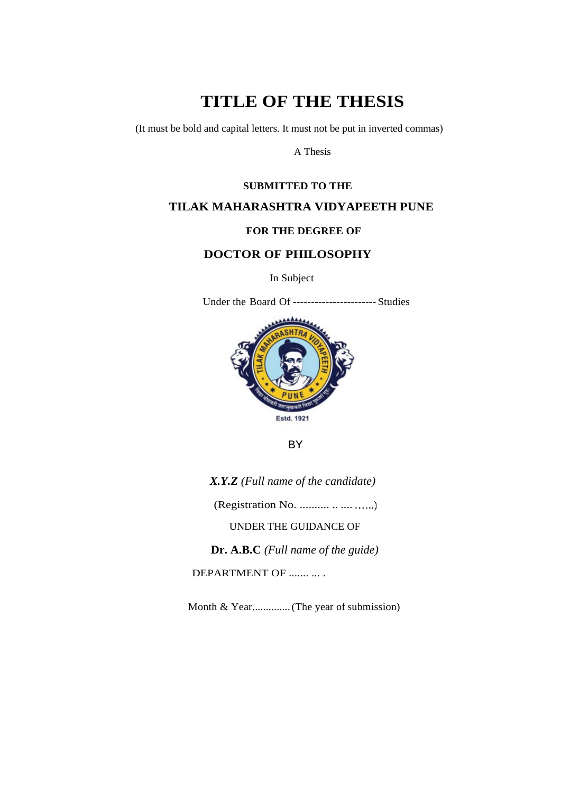# **TITLE OF THE THESIS**

(It must be bold and capital letters. It must not be put in inverted commas)

A Thesis

#### **SUBMITTED TO THE**

#### **TILAK MAHARASHTRA VIDYAPEETH PUNE**

#### **FOR THE DEGREE OF**

### **DOCTOR OF PHILOSOPHY**

In Subject

Under the Board Of ----------------------- Studies



BY

*X.Y.Z (Full name of the candidate)*

(Registration No. .......... .. ...............)

UNDER THE GUIDANCE OF

**Dr. A.B.C** *(Full name of the guide)*

DEPARTMENT OF ....... ... .

Month & Year..............(The year of submission)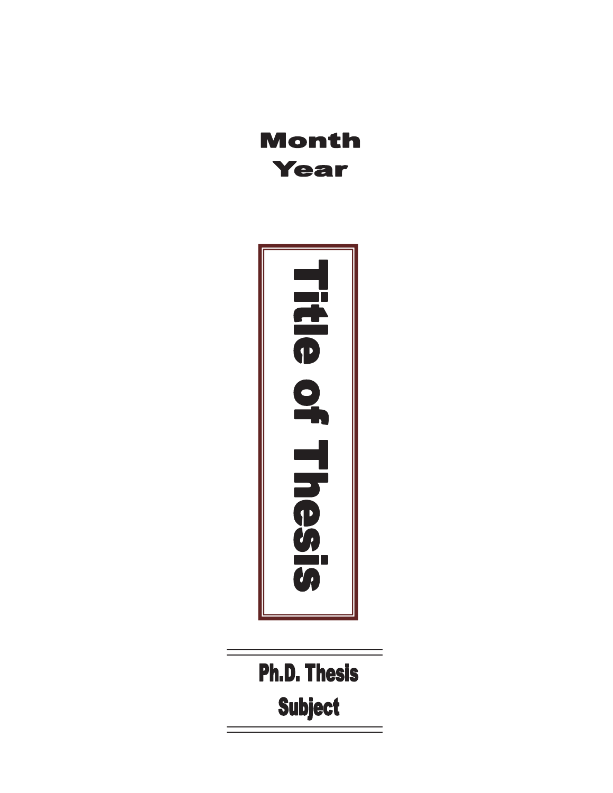# **Month Year**



**Ph.D. Thesis Subject**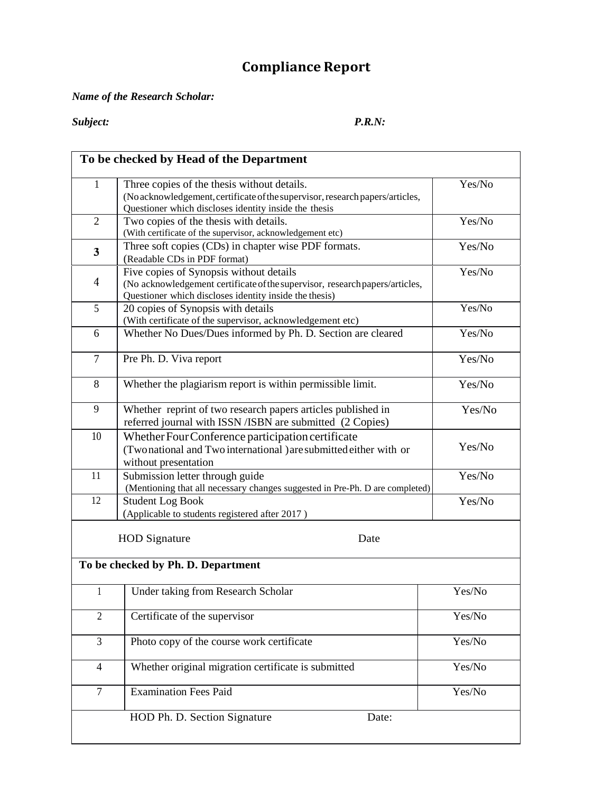# **Compliance Report**

#### *Name of the Research Scholar:*

*Subject: P.R.N:*

|                | To be checked by Head of the Department                                                                                                                                               |        |
|----------------|---------------------------------------------------------------------------------------------------------------------------------------------------------------------------------------|--------|
| $\mathbf{1}$   | Three copies of the thesis without details.<br>(No acknowledgement, certificate of the supervisor, research papers/articles,<br>Questioner which discloses identity inside the thesis | Yes/No |
| $\mathfrak{2}$ | Two copies of the thesis with details.<br>(With certificate of the supervisor, acknowledgement etc)                                                                                   | Yes/No |
| 3              | Yes/No<br>Three soft copies (CDs) in chapter wise PDF formats.<br>(Readable CDs in PDF format)                                                                                        |        |
| 4              | Five copies of Synopsis without details<br>(No acknowledgement certificate of the supervisor, research papers/articles,<br>Questioner which discloses identity inside the thesis)     | Yes/No |
| 5              | 20 copies of Synopsis with details<br>(With certificate of the supervisor, acknowledgement etc)                                                                                       | Yes/No |
| 6              | Whether No Dues/Dues informed by Ph. D. Section are cleared                                                                                                                           | Yes/No |
| $\overline{7}$ | Pre Ph. D. Viva report                                                                                                                                                                | Yes/No |
| 8              | Whether the plagiarism report is within permissible limit.                                                                                                                            | Yes/No |
| 9              | Yes/No<br>Whether reprint of two research papers articles published in<br>referred journal with ISSN /ISBN are submitted (2 Copies)                                                   |        |
| 10             | Whether Four Conference participation certificate<br>(Two national and Two international ) are submitted either with or<br>without presentation                                       |        |
| 11             | Submission letter through guide<br>(Mentioning that all necessary changes suggested in Pre-Ph. D are completed)                                                                       | Yes/No |
| 12             | <b>Student Log Book</b><br>(Applicable to students registered after 2017)                                                                                                             | Yes/No |
|                | <b>HOD</b> Signature<br>Date                                                                                                                                                          |        |
|                | To be checked by Ph. D. Department                                                                                                                                                    |        |
| 1              | Under taking from Research Scholar                                                                                                                                                    | Yes/No |
| $\overline{2}$ | Certificate of the supervisor                                                                                                                                                         | Yes/No |
| $\overline{3}$ | Photo copy of the course work certificate                                                                                                                                             | Yes/No |
| $\overline{4}$ | Whether original migration certificate is submitted                                                                                                                                   | Yes/No |
| $\tau$         | <b>Examination Fees Paid</b>                                                                                                                                                          | Yes/No |
|                | HOD Ph. D. Section Signature<br>Date:                                                                                                                                                 |        |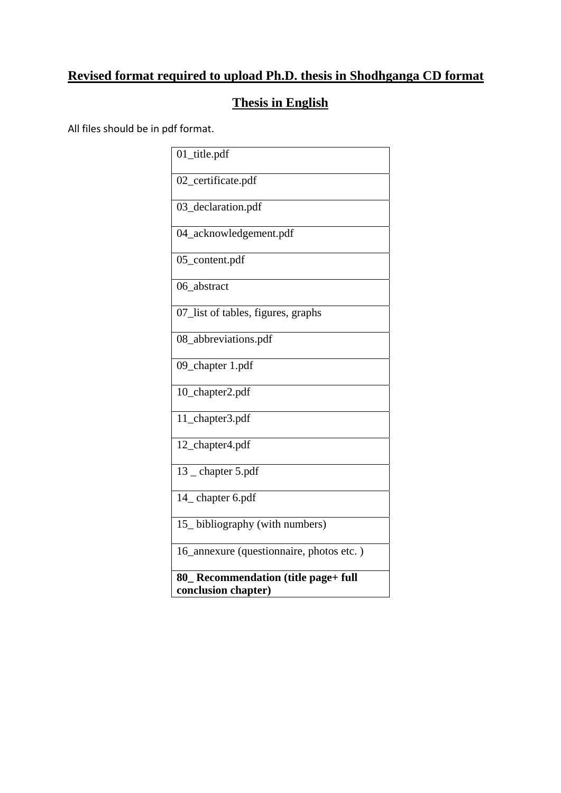# **Revised format required to upload Ph.D. thesis in Shodhganga CD format**

# **Thesis in English**

All files should be in pdf format.

| 01_title.pdf                             |
|------------------------------------------|
| 02_certificate.pdf                       |
| 03_declaration.pdf                       |
| 04_acknowledgement.pdf                   |
| 05_content.pdf                           |
| 06_abstract                              |
| 07_list of tables, figures, graphs       |
| 08_abbreviations.pdf                     |
| 09_chapter 1.pdf                         |
| 10_chapter2.pdf                          |
| 11_chapter3.pdf                          |
| 12_chapter4.pdf                          |
| 13 _ chapter 5.pdf                       |
| 14_ chapter 6.pdf                        |
| 15_bibliography (with numbers)           |
| 16_annexure (questionnaire, photos etc.) |
| 80_ Recommendation (title page+ full     |
| conclusion chapter)                      |